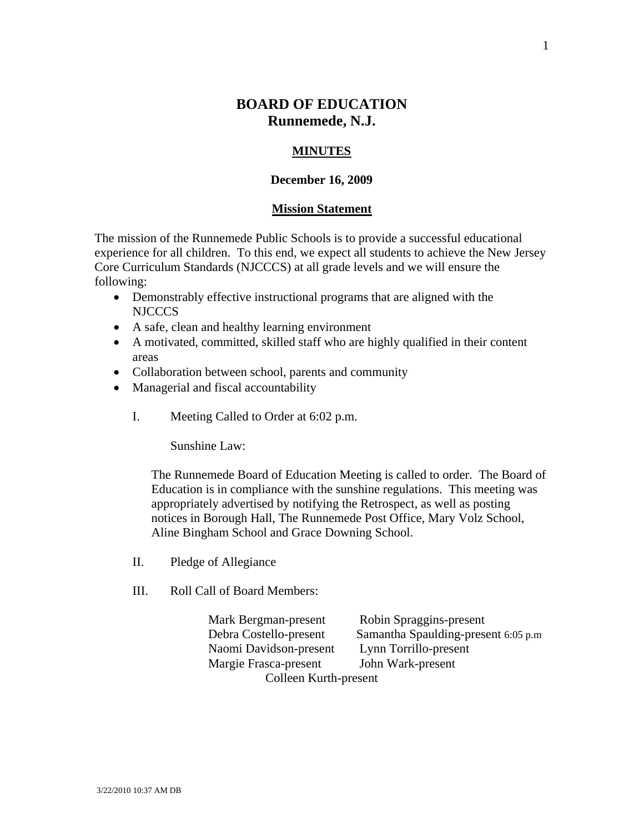## **BOARD OF EDUCATION Runnemede, N.J.**

### **MINUTES**

#### **December 16, 2009**

#### **Mission Statement**

The mission of the Runnemede Public Schools is to provide a successful educational experience for all children. To this end, we expect all students to achieve the New Jersey Core Curriculum Standards (NJCCCS) at all grade levels and we will ensure the following:

- Demonstrably effective instructional programs that are aligned with the NJCCCS
- A safe, clean and healthy learning environment
- A motivated, committed, skilled staff who are highly qualified in their content areas
- Collaboration between school, parents and community
- Managerial and fiscal accountability
	- I. Meeting Called to Order at 6:02 p.m.

Sunshine Law:

The Runnemede Board of Education Meeting is called to order. The Board of Education is in compliance with the sunshine regulations. This meeting was appropriately advertised by notifying the Retrospect, as well as posting notices in Borough Hall, The Runnemede Post Office, Mary Volz School, Aline Bingham School and Grace Downing School.

- II. Pledge of Allegiance
- III. Roll Call of Board Members:

 Mark Bergman-present Robin Spraggins-present Naomi Davidson-present Lynn Torrillo-present Margie Frasca-present John Wark-present Colleen Kurth-present

Debra Costello-present Samantha Spaulding-present 6:05 p.m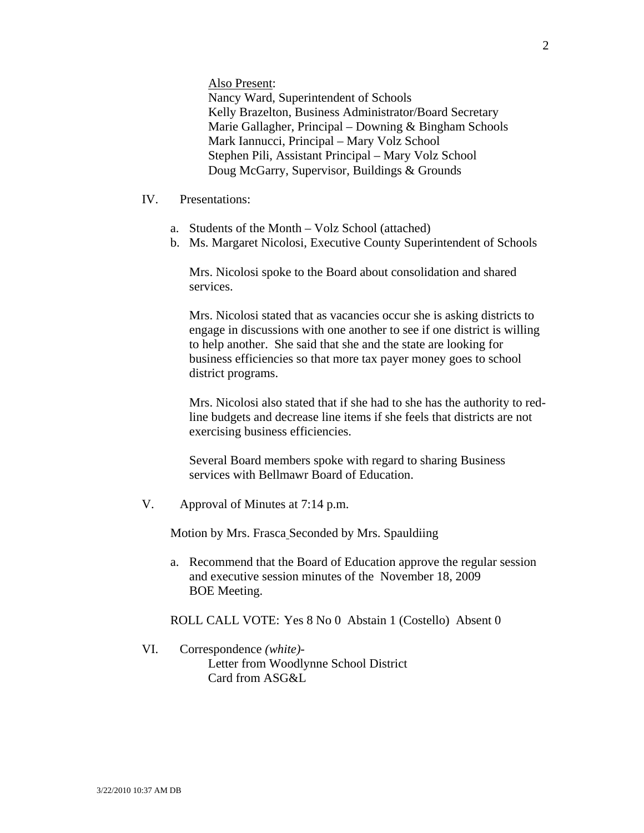Also Present:

Nancy Ward, Superintendent of Schools Kelly Brazelton, Business Administrator/Board Secretary Marie Gallagher, Principal – Downing & Bingham Schools Mark Iannucci, Principal – Mary Volz School Stephen Pili, Assistant Principal – Mary Volz School Doug McGarry, Supervisor, Buildings & Grounds

- IV. Presentations:
	- a. Students of the Month Volz School (attached)
	- b. Ms. Margaret Nicolosi, Executive County Superintendent of Schools

Mrs. Nicolosi spoke to the Board about consolidation and shared services.

Mrs. Nicolosi stated that as vacancies occur she is asking districts to engage in discussions with one another to see if one district is willing to help another. She said that she and the state are looking for business efficiencies so that more tax payer money goes to school district programs.

Mrs. Nicolosi also stated that if she had to she has the authority to redline budgets and decrease line items if she feels that districts are not exercising business efficiencies.

Several Board members spoke with regard to sharing Business services with Bellmawr Board of Education.

V. Approval of Minutes at 7:14 p.m.

Motion by Mrs. Frasca Seconded by Mrs. Spauldiing

a. Recommend that the Board of Education approve the regular session and executive session minutes of the November 18, 2009 BOE Meeting.

ROLL CALL VOTE: Yes 8 No 0 Abstain 1 (Costello) Absent 0

VI. Correspondence *(white)-*  Letter from Woodlynne School District Card from ASG&L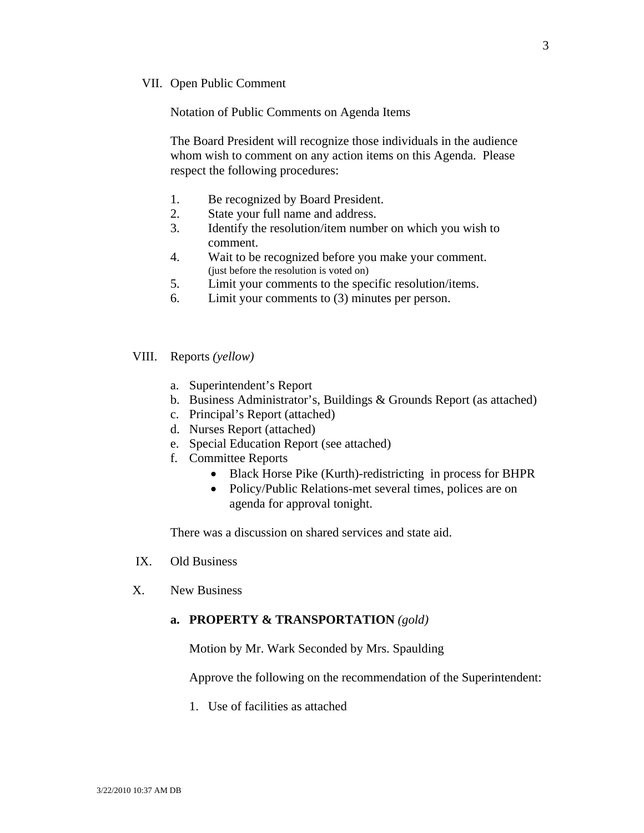#### VII. Open Public Comment

Notation of Public Comments on Agenda Items

The Board President will recognize those individuals in the audience whom wish to comment on any action items on this Agenda. Please respect the following procedures:

- 1. Be recognized by Board President.
- 2. State your full name and address.
- 3. Identify the resolution/item number on which you wish to comment.
- 4. Wait to be recognized before you make your comment. (just before the resolution is voted on)
- 5. Limit your comments to the specific resolution/items.
- 6. Limit your comments to (3) minutes per person.
- VIII. Reports *(yellow)* 
	- a. Superintendent's Report
	- b. Business Administrator's, Buildings & Grounds Report (as attached)
	- c. Principal's Report (attached)
	- d. Nurses Report (attached)
	- e. Special Education Report (see attached)
	- f. Committee Reports
		- Black Horse Pike (Kurth)-redistricting in process for BHPR
		- Policy/Public Relations-met several times, polices are on agenda for approval tonight.

There was a discussion on shared services and state aid.

- IX. Old Business
- X. New Business

#### **a. PROPERTY & TRANSPORTATION** *(gold)*

Motion by Mr. Wark Seconded by Mrs. Spaulding

Approve the following on the recommendation of the Superintendent:

1. Use of facilities as attached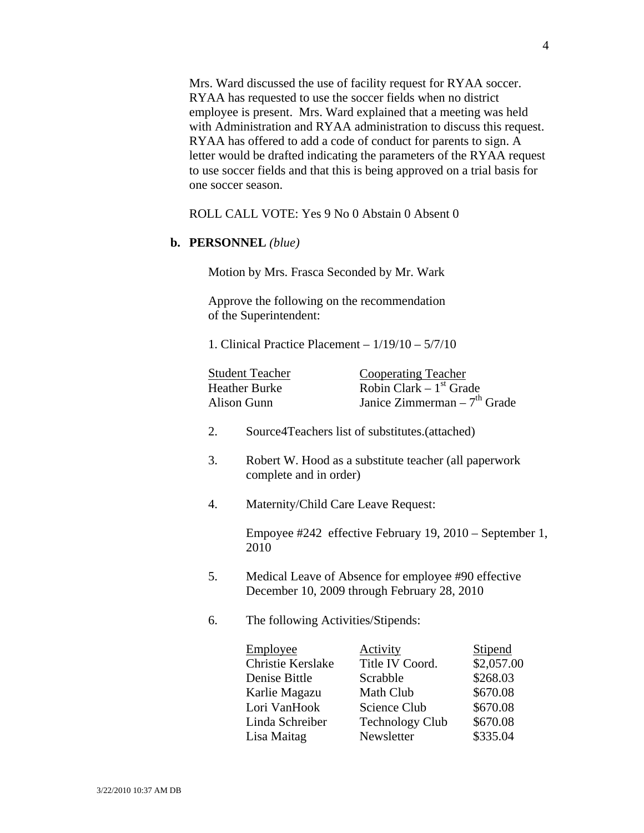Mrs. Ward discussed the use of facility request for RYAA soccer. RYAA has requested to use the soccer fields when no district employee is present. Mrs. Ward explained that a meeting was held with Administration and RYAA administration to discuss this request. RYAA has offered to add a code of conduct for parents to sign. A letter would be drafted indicating the parameters of the RYAA request to use soccer fields and that this is being approved on a trial basis for one soccer season.

ROLL CALL VOTE: Yes 9 No 0 Abstain 0 Absent 0

### **b. PERSONNEL** *(blue)*

Motion by Mrs. Frasca Seconded by Mr. Wark

 Approve the following on the recommendation of the Superintendent:

1. Clinical Practice Placement – 1/19/10 – 5/7/10

| <b>Student Teacher</b> | Cooperating Teacher            |
|------------------------|--------------------------------|
| Heather Burke          | Robin Clark $-1st$ Grade       |
| Alison Gunn            | Janice Zimmerman – $7th$ Grade |

- 2. Source4Teachers list of substitutes.(attached)
- 3. Robert W. Hood as a substitute teacher (all paperwork complete and in order)
- 4. Maternity/Child Care Leave Request:

Empoyee #242 effective February 19, 2010 – September 1, 2010

- 5. Medical Leave of Absence for employee #90 effective December 10, 2009 through February 28, 2010
- 6. The following Activities/Stipends:

| Activity               | Stipend    |
|------------------------|------------|
| Title IV Coord.        | \$2,057.00 |
| Scrabble               | \$268.03   |
| Math Club              | \$670.08   |
| Science Club           | \$670.08   |
| <b>Technology Club</b> | \$670.08   |
| Newsletter             | \$335.04   |
|                        |            |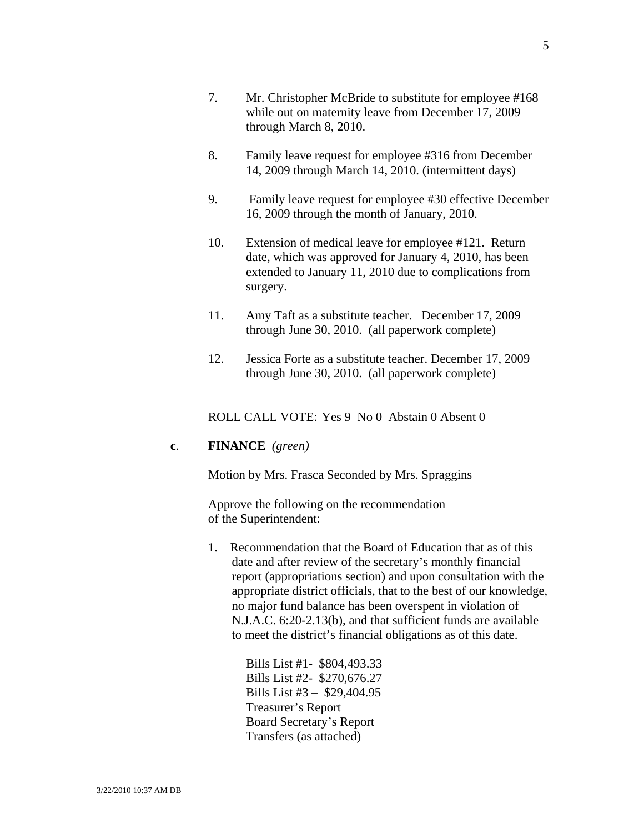- 7. Mr. Christopher McBride to substitute for employee #168 while out on maternity leave from December 17, 2009 through March 8, 2010.
- 8. Family leave request for employee #316 from December 14, 2009 through March 14, 2010. (intermittent days)
- 9. Family leave request for employee #30 effective December 16, 2009 through the month of January, 2010.
- 10. Extension of medical leave for employee #121. Return date, which was approved for January 4, 2010, has been extended to January 11, 2010 due to complications from surgery.
- 11. Amy Taft as a substitute teacher. December 17, 2009 through June 30, 2010. (all paperwork complete)
- 12. Jessica Forte as a substitute teacher. December 17, 2009 through June 30, 2010. (all paperwork complete)

ROLL CALL VOTE: Yes 9 No 0 Abstain 0 Absent 0

### **c**. **FINANCE** *(green)*

Motion by Mrs. Frasca Seconded by Mrs. Spraggins

Approve the following on the recommendation of the Superintendent:

1. Recommendation that the Board of Education that as of this date and after review of the secretary's monthly financial report (appropriations section) and upon consultation with the appropriate district officials, that to the best of our knowledge, no major fund balance has been overspent in violation of N.J.A.C. 6:20-2.13(b), and that sufficient funds are available to meet the district's financial obligations as of this date.

> Bills List #1- \$804,493.33 Bills List #2- \$270,676.27 Bills List #3 – \$29,404.95 Treasurer's Report Board Secretary's Report Transfers (as attached)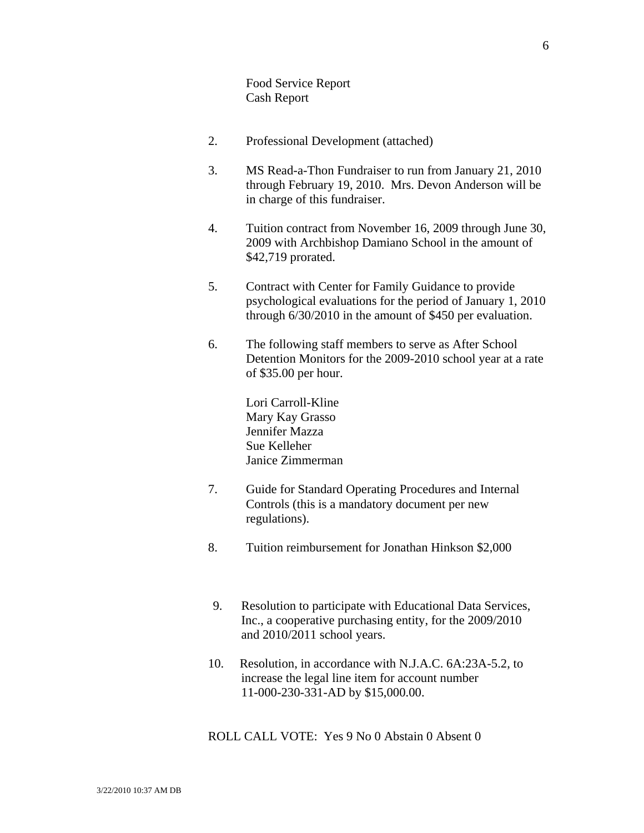Food Service Report Cash Report

- 2. Professional Development (attached)
- 3. MS Read-a-Thon Fundraiser to run from January 21, 2010 through February 19, 2010. Mrs. Devon Anderson will be in charge of this fundraiser.
- 4. Tuition contract from November 16, 2009 through June 30, 2009 with Archbishop Damiano School in the amount of \$42,719 prorated.
- 5. Contract with Center for Family Guidance to provide psychological evaluations for the period of January 1, 2010 through 6/30/2010 in the amount of \$450 per evaluation.
- 6. The following staff members to serve as After School Detention Monitors for the 2009-2010 school year at a rate of \$35.00 per hour.

 Lori Carroll-Kline Mary Kay Grasso Jennifer Mazza Sue Kelleher Janice Zimmerman

- 7. Guide for Standard Operating Procedures and Internal Controls (this is a mandatory document per new regulations).
- 8. Tuition reimbursement for Jonathan Hinkson \$2,000
- 9. Resolution to participate with Educational Data Services, Inc., a cooperative purchasing entity, for the 2009/2010 and 2010/2011 school years.
- 10. Resolution, in accordance with N.J.A.C. 6A:23A-5.2, to increase the legal line item for account number 11-000-230-331-AD by \$15,000.00.

ROLL CALL VOTE: Yes 9 No 0 Abstain 0 Absent 0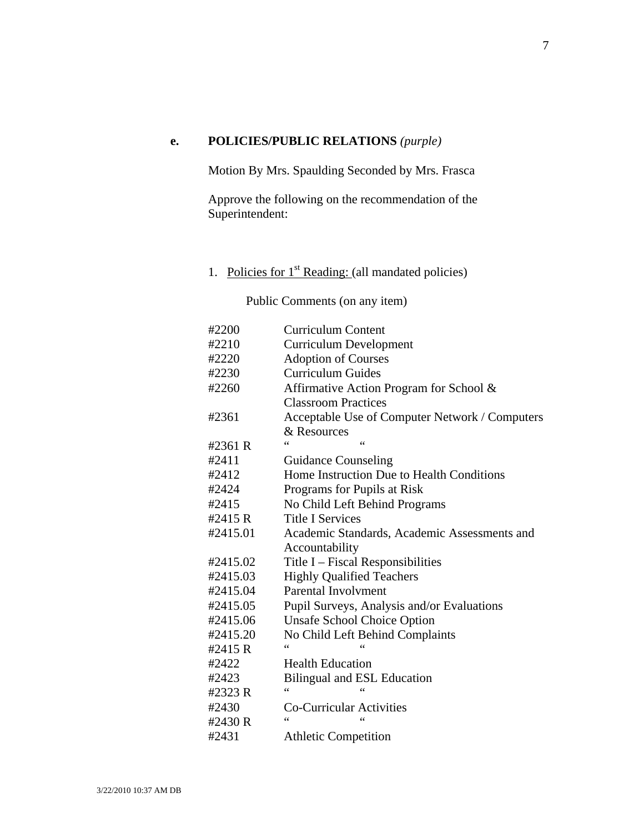# **e. POLICIES/PUBLIC RELATIONS** *(purple)*

Motion By Mrs. Spaulding Seconded by Mrs. Frasca

Approve the following on the recommendation of the Superintendent:

# 1. Policies for  $1<sup>st</sup>$  Reading: (all mandated policies)

Public Comments (on any item)

| #2200    | <b>Curriculum Content</b>                      |
|----------|------------------------------------------------|
| #2210    | <b>Curriculum Development</b>                  |
| #2220    | <b>Adoption of Courses</b>                     |
| #2230    | <b>Curriculum Guides</b>                       |
| #2260    | Affirmative Action Program for School &        |
|          | <b>Classroom Practices</b>                     |
| #2361    | Acceptable Use of Computer Network / Computers |
|          | & Resources                                    |
| #2361 R  | $\epsilon$                                     |
| #2411    | <b>Guidance Counseling</b>                     |
| #2412    | Home Instruction Due to Health Conditions      |
| #2424    | Programs for Pupils at Risk                    |
| #2415    | No Child Left Behind Programs                  |
| #2415 R  | <b>Title I Services</b>                        |
| #2415.01 | Academic Standards, Academic Assessments and   |
|          | Accountability                                 |
| #2415.02 | Title I - Fiscal Responsibilities              |
| #2415.03 | <b>Highly Qualified Teachers</b>               |
| #2415.04 | <b>Parental Involvment</b>                     |
| #2415.05 | Pupil Surveys, Analysis and/or Evaluations     |
| #2415.06 | <b>Unsafe School Choice Option</b>             |
| #2415.20 | No Child Left Behind Complaints                |
| #2415 R  | 66                                             |
| #2422    | <b>Health Education</b>                        |
| #2423    | <b>Bilingual and ESL Education</b>             |
| #2323 R  | $\epsilon$                                     |
| #2430    | <b>Co-Curricular Activities</b>                |
| #2430 R  | 66                                             |
| #2431    | <b>Athletic Competition</b>                    |
|          |                                                |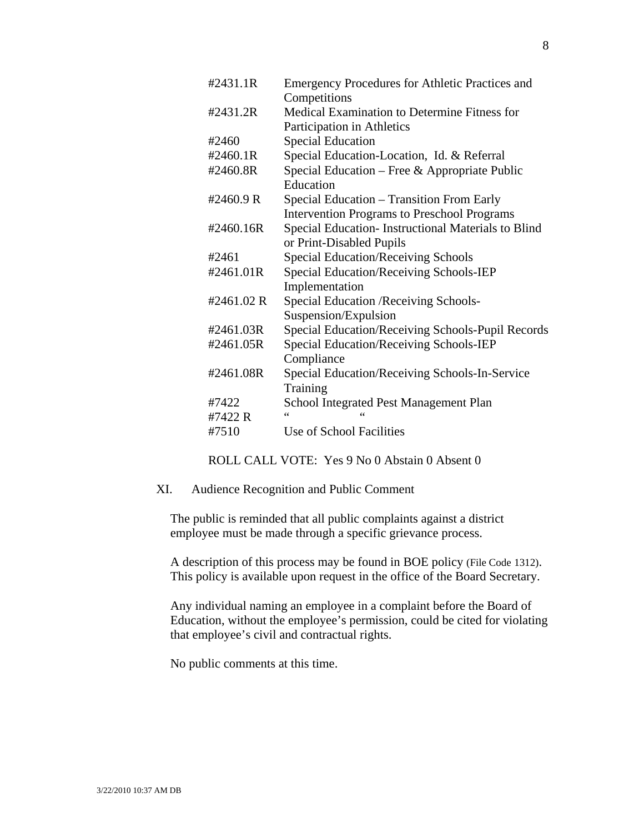| #2431.1R   | <b>Emergency Procedures for Athletic Practices and</b> |
|------------|--------------------------------------------------------|
|            | Competitions                                           |
| #2431.2R   | Medical Examination to Determine Fitness for           |
|            | Participation in Athletics                             |
| #2460      | <b>Special Education</b>                               |
| #2460.1R   | Special Education-Location, Id. & Referral             |
| #2460.8R   | Special Education – Free & Appropriate Public          |
|            | Education                                              |
| #2460.9 R  | Special Education - Transition From Early              |
|            | <b>Intervention Programs to Preschool Programs</b>     |
| #2460.16R  | Special Education- Instructional Materials to Blind    |
|            | or Print-Disabled Pupils                               |
| #2461      | <b>Special Education/Receiving Schools</b>             |
| #2461.01R  | Special Education/Receiving Schools-IEP                |
|            | Implementation                                         |
| #2461.02 R | Special Education / Receiving Schools-                 |
|            | Suspension/Expulsion                                   |
| #2461.03R  | Special Education/Receiving Schools-Pupil Records      |
| #2461.05R  | Special Education/Receiving Schools-IEP                |
|            | Compliance                                             |
| #2461.08R  | Special Education/Receiving Schools-In-Service         |
|            | Training                                               |
| #7422      | School Integrated Pest Management Plan                 |
| #7422 R    | $\epsilon$                                             |
| #7510      | Use of School Facilities                               |

ROLL CALL VOTE: Yes 9 No 0 Abstain 0 Absent 0

XI. Audience Recognition and Public Comment

The public is reminded that all public complaints against a district employee must be made through a specific grievance process.

A description of this process may be found in BOE policy (File Code 1312). This policy is available upon request in the office of the Board Secretary.

Any individual naming an employee in a complaint before the Board of Education, without the employee's permission, could be cited for violating that employee's civil and contractual rights.

No public comments at this time.